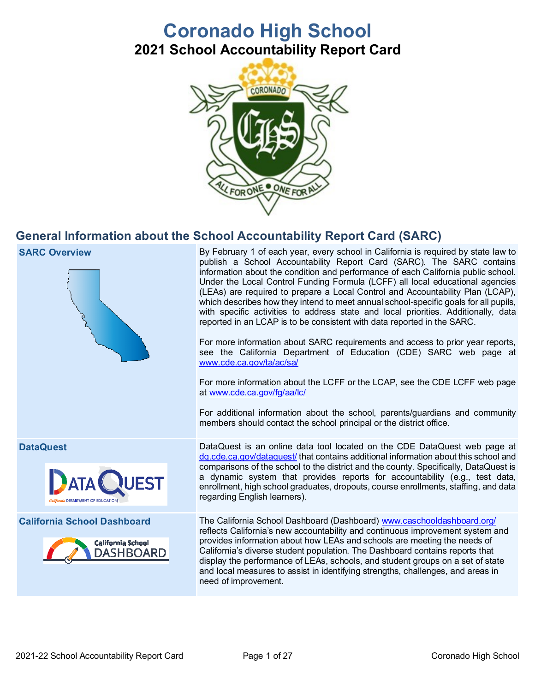# **Coronado High School 2021 School Accountability Report Card**



## **General Information about the School Accountability Report Card (SARC)**



**SARC Overview By February 1 of each year, every school in California is required by state law to SARC Overview** publish a School Accountability Report Card (SARC). The SARC contains information about the condition and performance of each California public school. Under the Local Control Funding Formula (LCFF) all local educational agencies (LEAs) are required to prepare a Local Control and Accountability Plan (LCAP), which describes how they intend to meet annual school-specific goals for all pupils, with specific activities to address state and local priorities. Additionally, data reported in an LCAP is to be consistent with data reported in the SARC.

> For more information about SARC requirements and access to prior year reports, see the California Department of Education (CDE) SARC web page at [www.cde.ca.gov/ta/ac/sa/](https://www.cde.ca.gov/ta/ac/sa/)

> For more information about the LCFF or the LCAP, see the CDE LCFF web page at [www.cde.ca.gov/fg/aa/lc/](https://www.cde.ca.gov/fg/aa/lc/)

> For additional information about the school, parents/guardians and community members should contact the school principal or the district office.





**DataQuest** DataQuest DataQuest is an online data tool located on the CDE DataQuest web page at [dq.cde.ca.gov/dataquest/](https://dq.cde.ca.gov/dataquest/) that contains additional information about this school and comparisons of the school to the district and the county. Specifically, DataQuest is a dynamic system that provides reports for accountability (e.g., test data, enrollment, high school graduates, dropouts, course enrollments, staffing, and data regarding English learners).

**California School Dashboard** The California School Dashboard (Dashboard) [www.caschooldashboard.org/](http://www.caschooldashboard.org/) reflects California's new accountability and continuous improvement system and provides information about how LEAs and schools are meeting the needs of California's diverse student population. The Dashboard contains reports that display the performance of LEAs, schools, and student groups on a set of state and local measures to assist in identifying strengths, challenges, and areas in need of improvement.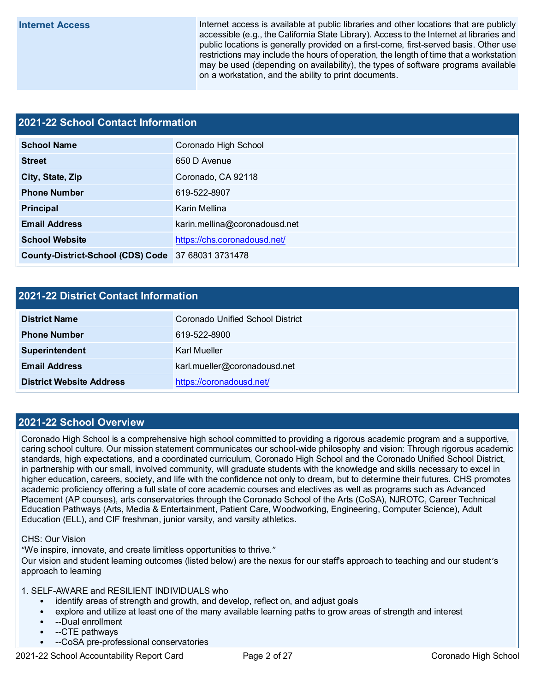**Internet Access** Internet access is available at public libraries and other locations that are publicly accessible (e.g., the California State Library). Access to the Internet at libraries and public locations is generally provided on a first-come, first-served basis. Other use restrictions may include the hours of operation, the length of time that a workstation may be used (depending on availability), the types of software programs available on a workstation, and the ability to print documents.

#### **2021-22 School Contact Information**

| <b>School Name</b>                                 | Coronado High School          |  |  |  |
|----------------------------------------------------|-------------------------------|--|--|--|
| <b>Street</b>                                      | 650 D Avenue                  |  |  |  |
| City, State, Zip                                   | Coronado, CA 92118            |  |  |  |
| <b>Phone Number</b>                                | 619-522-8907                  |  |  |  |
| Principal                                          | Karin Mellina                 |  |  |  |
| <b>Email Address</b>                               | karin.mellina@coronadousd.net |  |  |  |
| <b>School Website</b>                              | https://chs.coronadousd.net/  |  |  |  |
| County-District-School (CDS) Code 37 68031 3731478 |                               |  |  |  |

#### **2021-22 District Contact Information**

| <b>District Name</b>            | Coronado Unified School District |  |  |  |
|---------------------------------|----------------------------------|--|--|--|
| <b>Phone Number</b>             | 619-522-8900                     |  |  |  |
| <b>Superintendent</b>           | Karl Mueller                     |  |  |  |
| <b>Email Address</b>            | karl.mueller@coronadousd.net     |  |  |  |
| <b>District Website Address</b> | https://coronadousd.net/         |  |  |  |

#### **2021-22 School Overview**

Coronado High School is a comprehensive high school committed to providing a rigorous academic program and a supportive, caring school culture. Our mission statement communicates our school-wide philosophy and vision: Through rigorous academic standards, high expectations, and a coordinated curriculum, Coronado High School and the Coronado Unified School District, in partnership with our small, involved community, will graduate students with the knowledge and skills necessary to excel in higher education, careers, society, and life with the confidence not only to dream, but to determine their futures. CHS promotes academic proficiency offering a full slate of core academic courses and electives as well as programs such as Advanced Placement (AP courses), arts conservatories through the Coronado School of the Arts (CoSA), NJROTC, Career Technical Education Pathways (Arts, Media & Entertainment, Patient Care, Woodworking, Engineering, Computer Science), Adult Education (ELL), and CIF freshman, junior varsity, and varsity athletics.

CHS: Our Vision

"We inspire, innovate, and create limitless opportunities to thrive."

Our vision and student learning outcomes (listed below) are the nexus for our staff's approach to teaching and our student's approach to learning

1. SELF-AWARE and RESILIENT INDIVIDUALS who

- identify areas of strength and growth, and develop, reflect on, and adjust goals
- explore and utilize at least one of the many available learning paths to grow areas of strength and interest
- --Dual enrollment
- --CTE pathways
- --CoSA pre-professional conservatories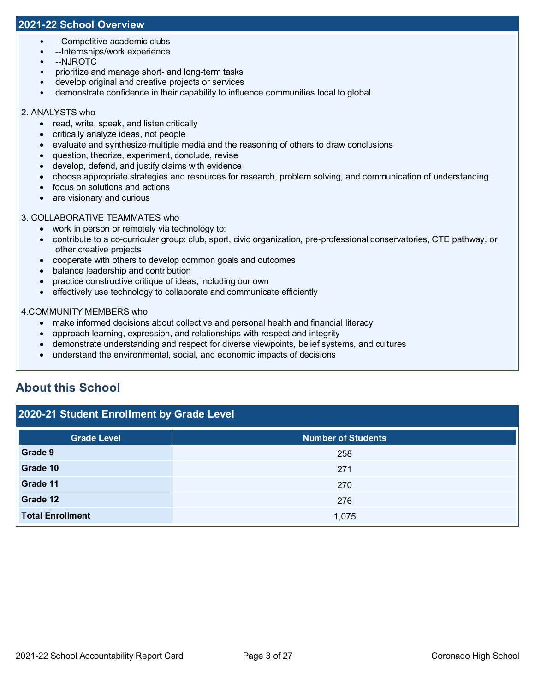#### **2021-22 School Overview**

- --Competitive academic clubs
- --Internships/work experience
- --NJROTC
- prioritize and manage short- and long-term tasks
- develop original and creative projects or services
- demonstrate confidence in their capability to influence communities local to global

#### 2. ANALYSTS who

- read, write, speak, and listen critically
- critically analyze ideas, not people
- evaluate and synthesize multiple media and the reasoning of others to draw conclusions
- question, theorize, experiment, conclude, revise
- develop, defend, and justify claims with evidence
- choose appropriate strategies and resources for research, problem solving, and communication of understanding
- focus on solutions and actions
- are visionary and curious

#### 3. COLLABORATIVE TEAMMATES who

- work in person or remotely via technology to:
- contribute to a co-curricular group: club, sport, civic organization, pre-professional conservatories, CTE pathway, or other creative projects
- cooperate with others to develop common goals and outcomes
- balance leadership and contribution
- practice constructive critique of ideas, including our own
- effectively use technology to collaborate and communicate efficiently

#### 4.COMMUNITY MEMBERS who

- make informed decisions about collective and personal health and financial literacy
- approach learning, expression, and relationships with respect and integrity
- demonstrate understanding and respect for diverse viewpoints, belief systems, and cultures
- understand the environmental, social, and economic impacts of decisions

## **About this School**

#### **2020-21 Student Enrollment by Grade Level**

| <b>Grade Level</b>      | <b>Number of Students</b> |
|-------------------------|---------------------------|
| Grade 9                 | 258                       |
| Grade 10                | 271                       |
| Grade 11                | 270                       |
| Grade 12                | 276                       |
| <b>Total Enrollment</b> | 1,075                     |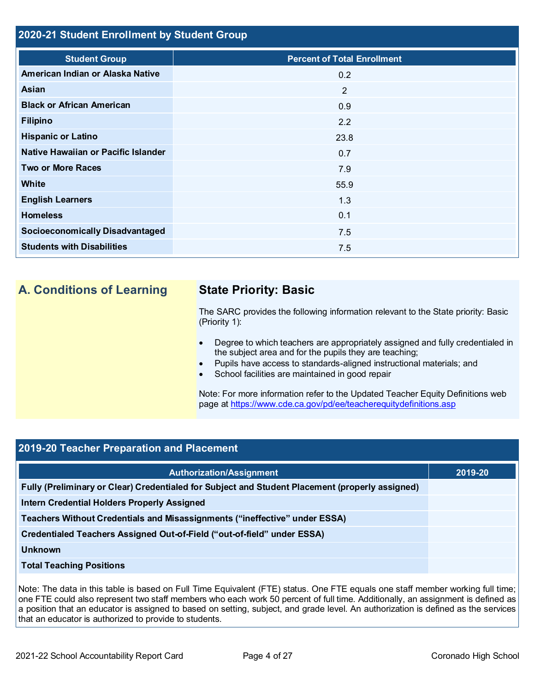#### **2020-21 Student Enrollment by Student Group**

| <b>Student Group</b>                   | <b>Percent of Total Enrollment</b> |
|----------------------------------------|------------------------------------|
| American Indian or Alaska Native       | 0.2                                |
| Asian                                  | 2                                  |
| <b>Black or African American</b>       | 0.9                                |
| <b>Filipino</b>                        | 2.2                                |
| <b>Hispanic or Latino</b>              | 23.8                               |
| Native Hawaiian or Pacific Islander    | 0.7                                |
| <b>Two or More Races</b>               | 7.9                                |
| <b>White</b>                           | 55.9                               |
| <b>English Learners</b>                | 1.3                                |
| <b>Homeless</b>                        | 0.1                                |
| <b>Socioeconomically Disadvantaged</b> | 7.5                                |
| <b>Students with Disabilities</b>      | 7.5                                |

## **A. Conditions of Learning State Priority: Basic**

The SARC provides the following information relevant to the State priority: Basic (Priority 1):

- Degree to which teachers are appropriately assigned and fully credentialed in the subject area and for the pupils they are teaching;
- Pupils have access to standards-aligned instructional materials; and
- School facilities are maintained in good repair

Note: For more information refer to the Updated Teacher Equity Definitions web page at<https://www.cde.ca.gov/pd/ee/teacherequitydefinitions.asp>

## **2019-20 Teacher Preparation and Placement**

| <b>Authorization/Assignment</b>                                                                 | 2019-20 |
|-------------------------------------------------------------------------------------------------|---------|
| Fully (Preliminary or Clear) Credentialed for Subject and Student Placement (properly assigned) |         |
| <b>Intern Credential Holders Properly Assigned</b>                                              |         |
| Teachers Without Credentials and Misassignments ("ineffective" under ESSA)                      |         |
| Credentialed Teachers Assigned Out-of-Field ("out-of-field" under ESSA)                         |         |
| <b>Unknown</b>                                                                                  |         |
| <b>Total Teaching Positions</b>                                                                 |         |

Note: The data in this table is based on Full Time Equivalent (FTE) status. One FTE equals one staff member working full time; one FTE could also represent two staff members who each work 50 percent of full time. Additionally, an assignment is defined as a position that an educator is assigned to based on setting, subject, and grade level. An authorization is defined as the services that an educator is authorized to provide to students.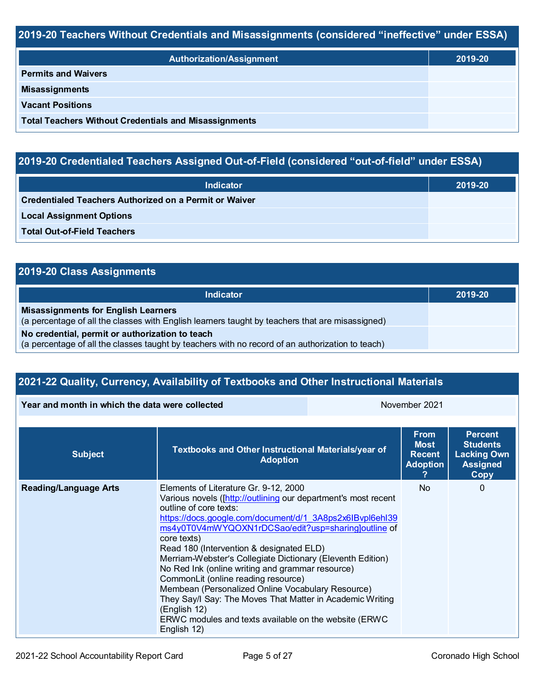### **2019-20 Teachers Without Credentials and Misassignments (considered "ineffective" under ESSA)**

| <b>Authorization/Assignment</b>                              | 2019-20 |  |
|--------------------------------------------------------------|---------|--|
| <b>Permits and Waivers</b>                                   |         |  |
| <b>Misassignments</b>                                        |         |  |
| <b>Vacant Positions</b>                                      |         |  |
| <b>Total Teachers Without Credentials and Misassignments</b> |         |  |

## **2019-20 Credentialed Teachers Assigned Out-of-Field (considered "out-of-field" under ESSA)**

| <b>Indicator</b>                                              | 2019-20 |
|---------------------------------------------------------------|---------|
| <b>Credentialed Teachers Authorized on a Permit or Waiver</b> |         |
| <b>Local Assignment Options</b>                               |         |
| <b>Total Out-of-Field Teachers</b>                            |         |

## **2019-20 Class Assignments**

| Indicator                                                                                                                                           | 2019-20 |
|-----------------------------------------------------------------------------------------------------------------------------------------------------|---------|
| <b>Misassignments for English Learners</b><br>(a percentage of all the classes with English learners taught by teachers that are misassigned)       |         |
| No credential, permit or authorization to teach<br>(a percentage of all the classes taught by teachers with no record of an authorization to teach) |         |

## **2021-22 Quality, Currency, Availability of Textbooks and Other Instructional Materials**

**Year and month in which the data were collected** November 2021

| <b>Subject</b>               | Textbooks and Other Instructional Materials/year of<br><b>Adoption</b>                                                                                                                                                                                                                                                                                                                                                                                                                                                                                                                                                                                                              | <b>From</b><br><b>Most</b><br><b>Recent</b><br><b>Adoption</b> | <b>Percent</b><br><b>Students</b><br><b>Lacking Own</b><br><b>Assigned</b><br><b>Copy</b> |
|------------------------------|-------------------------------------------------------------------------------------------------------------------------------------------------------------------------------------------------------------------------------------------------------------------------------------------------------------------------------------------------------------------------------------------------------------------------------------------------------------------------------------------------------------------------------------------------------------------------------------------------------------------------------------------------------------------------------------|----------------------------------------------------------------|-------------------------------------------------------------------------------------------|
| <b>Reading/Language Arts</b> | Elements of Literature Gr. 9-12, 2000<br>Various novels ([http://outlining our department's most recent<br>outline of core texts:<br>https://docs.google.com/document/d/1_3A8ps2x6IBvpl6ehl39<br>ms4y0T0V4mWYQOXN1rDCSao/edit?usp=sharing]outline of<br>core texts)<br>Read 180 (Intervention & designated ELD)<br>Merriam-Webster's Collegiate Dictionary (Eleventh Edition)<br>No Red Ink (online writing and grammar resource)<br>CommonLit (online reading resource)<br>Membean (Personalized Online Vocabulary Resource)<br>They Say/I Say: The Moves That Matter in Academic Writing<br>(English 12)<br>ERWC modules and texts available on the website (ERWC)<br>English 12) | N <sub>o</sub>                                                 | 0                                                                                         |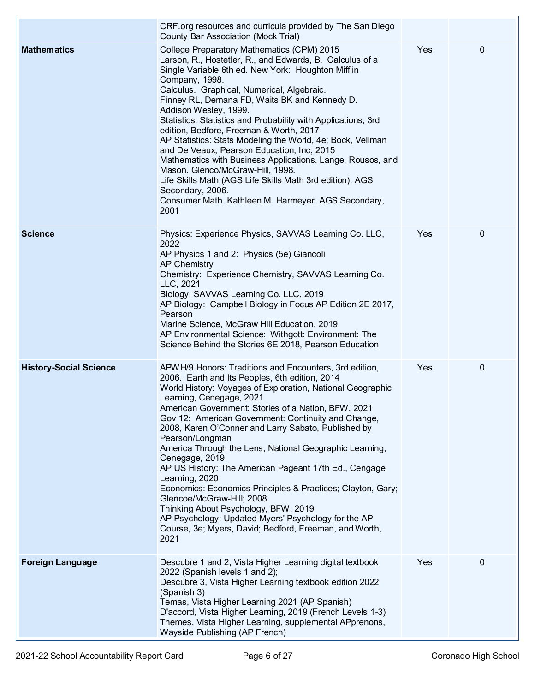|                               | CRF.org resources and curricula provided by The San Diego<br><b>County Bar Association (Mock Trial)</b>                                                                                                                                                                                                                                                                                                                                                                                                                                                                                                                                                                                                                                                                                                         |     |   |
|-------------------------------|-----------------------------------------------------------------------------------------------------------------------------------------------------------------------------------------------------------------------------------------------------------------------------------------------------------------------------------------------------------------------------------------------------------------------------------------------------------------------------------------------------------------------------------------------------------------------------------------------------------------------------------------------------------------------------------------------------------------------------------------------------------------------------------------------------------------|-----|---|
| <b>Mathematics</b>            | College Preparatory Mathematics (CPM) 2015<br>Larson, R., Hostetler, R., and Edwards, B. Calculus of a<br>Single Variable 6th ed. New York: Houghton Mifflin<br>Company, 1998.<br>Calculus. Graphical, Numerical, Algebraic.<br>Finney RL, Demana FD, Waits BK and Kennedy D.<br>Addison Wesley, 1999.<br>Statistics: Statistics and Probability with Applications, 3rd<br>edition, Bedfore, Freeman & Worth, 2017<br>AP Statistics: Stats Modeling the World, 4e; Bock, Vellman<br>and De Veaux; Pearson Education, Inc; 2015<br>Mathematics with Business Applications. Lange, Rousos, and<br>Mason. Glenco/McGraw-Hill, 1998.<br>Life Skills Math (AGS Life Skills Math 3rd edition). AGS<br>Secondary, 2006.<br>Consumer Math. Kathleen M. Harmeyer. AGS Secondary,<br>2001                                 | Yes | 0 |
| <b>Science</b>                | Physics: Experience Physics, SAVVAS Learning Co. LLC,<br>2022<br>AP Physics 1 and 2: Physics (5e) Giancoli<br><b>AP Chemistry</b><br>Chemistry: Experience Chemistry, SAVVAS Learning Co.<br>LLC, 2021<br>Biology, SAVVAS Learning Co. LLC, 2019<br>AP Biology: Campbell Biology in Focus AP Edition 2E 2017,<br>Pearson<br>Marine Science, McGraw Hill Education, 2019<br>AP Environmental Science: Withgott: Environment: The<br>Science Behind the Stories 6E 2018, Pearson Education                                                                                                                                                                                                                                                                                                                        | Yes | 0 |
| <b>History-Social Science</b> | APWH/9 Honors: Traditions and Encounters, 3rd edition,<br>2006. Earth and Its Peoples, 6th edition, 2014<br>World History: Voyages of Exploration, National Geographic<br>Learning, Cenegage, 2021<br>American Government: Stories of a Nation, BFW, 2021<br>Gov 12: American Government: Continuity and Change,<br>2008, Karen O'Conner and Larry Sabato, Published by<br>Pearson/Longman<br>America Through the Lens, National Geographic Learning,<br>Cenegage, 2019<br>AP US History: The American Pageant 17th Ed., Cengage<br>Learning, 2020<br>Economics: Economics Principles & Practices; Clayton, Gary;<br>Glencoe/McGraw-Hill; 2008<br>Thinking About Psychology, BFW, 2019<br>AP Psychology: Updated Myers' Psychology for the AP<br>Course, 3e; Myers, David; Bedford, Freeman, and Worth,<br>2021 | Yes | 0 |
| <b>Foreign Language</b>       | Descubre 1 and 2, Vista Higher Learning digital textbook<br>2022 (Spanish levels 1 and 2);<br>Descubre 3, Vista Higher Learning textbook edition 2022<br>(Spanish 3)<br>Temas, Vista Higher Learning 2021 (AP Spanish)<br>D'accord, Vista Higher Learning, 2019 (French Levels 1-3)<br>Themes, Vista Higher Learning, supplemental APprenons,<br>Wayside Publishing (AP French)                                                                                                                                                                                                                                                                                                                                                                                                                                 | Yes | 0 |

 $\overline{1}$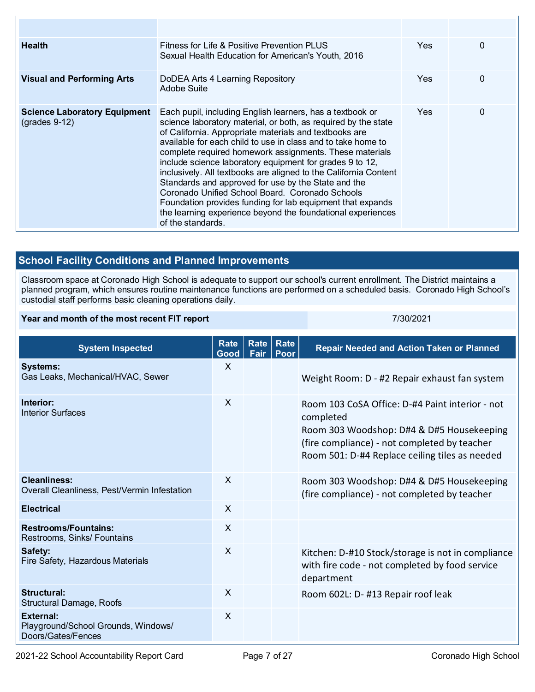| <b>Health</b>                                          | Fitness for Life & Positive Prevention PLUS<br>Sexual Health Education for American's Youth, 2016                                                                                                                                                                                                                                                                                                                                                                                                                                                                                                                                                                                                            | Yes.       | 0 |
|--------------------------------------------------------|--------------------------------------------------------------------------------------------------------------------------------------------------------------------------------------------------------------------------------------------------------------------------------------------------------------------------------------------------------------------------------------------------------------------------------------------------------------------------------------------------------------------------------------------------------------------------------------------------------------------------------------------------------------------------------------------------------------|------------|---|
| <b>Visual and Performing Arts</b>                      | DoDEA Arts 4 Learning Repository<br>Adobe Suite                                                                                                                                                                                                                                                                                                                                                                                                                                                                                                                                                                                                                                                              | <b>Yes</b> | 0 |
| <b>Science Laboratory Equipment</b><br>$(grades 9-12)$ | Each pupil, including English learners, has a textbook or<br>science laboratory material, or both, as required by the state<br>of California. Appropriate materials and textbooks are<br>available for each child to use in class and to take home to<br>complete required homework assignments. These materials<br>include science laboratory equipment for grades 9 to 12,<br>inclusively. All textbooks are aligned to the California Content<br>Standards and approved for use by the State and the<br>Coronado Unified School Board, Coronado Schools<br>Foundation provides funding for lab equipment that expands<br>the learning experience beyond the foundational experiences<br>of the standards. | Yes.       | 0 |

## **School Facility Conditions and Planned Improvements**

Classroom space at Coronado High School is adequate to support our school's current enrollment. The District maintains a planned program, which ensures routine maintenance functions are performed on a scheduled basis. Coronado High School's custodial staff performs basic cleaning operations daily.

#### **Year and month of the most recent FIT report** *CONDITY CONDITAL STATE STATE STATE STATE STATE STATE STATE STATE STATE STATE STATE STATE STATE STATE STATE STATE STATE STATE STATE STATE STATE STATE STATE STATE STATE STATE*

| <b>System Inspected</b>                                                | <b>Rate</b><br>Good | Rate<br>Fair | <b>Rate</b><br>Poor | <b>Repair Needed and Action Taken or Planned</b>                                                                                                                                                            |
|------------------------------------------------------------------------|---------------------|--------------|---------------------|-------------------------------------------------------------------------------------------------------------------------------------------------------------------------------------------------------------|
| <b>Systems:</b><br>Gas Leaks, Mechanical/HVAC, Sewer                   | X                   |              |                     | Weight Room: D - #2 Repair exhaust fan system                                                                                                                                                               |
| Interior:<br><b>Interior Surfaces</b>                                  | $\sf X$             |              |                     | Room 103 CoSA Office: D-#4 Paint interior - not<br>completed<br>Room 303 Woodshop: D#4 & D#5 Housekeeping<br>(fire compliance) - not completed by teacher<br>Room 501: D-#4 Replace ceiling tiles as needed |
| <b>Cleanliness:</b><br>Overall Cleanliness, Pest/Vermin Infestation    | $\times$            |              |                     | Room 303 Woodshop: D#4 & D#5 Housekeeping<br>(fire compliance) - not completed by teacher                                                                                                                   |
| <b>Electrical</b>                                                      | $\mathsf{X}$        |              |                     |                                                                                                                                                                                                             |
| <b>Restrooms/Fountains:</b><br>Restrooms, Sinks/ Fountains             | X                   |              |                     |                                                                                                                                                                                                             |
| Safety:<br>Fire Safety, Hazardous Materials                            | $\times$            |              |                     | Kitchen: D-#10 Stock/storage is not in compliance<br>with fire code - not completed by food service<br>department                                                                                           |
| Structural:<br>Structural Damage, Roofs                                | $\times$            |              |                     | Room 602L: D- #13 Repair roof leak                                                                                                                                                                          |
| External:<br>Playground/School Grounds, Windows/<br>Doors/Gates/Fences | $\sf X$             |              |                     |                                                                                                                                                                                                             |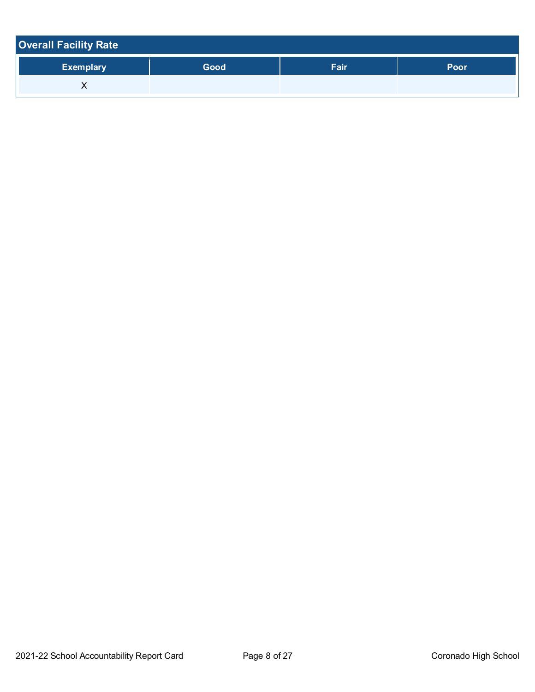| <b>Overall Facility Rate</b> |      |      |      |
|------------------------------|------|------|------|
| <b>Exemplary</b>             | Good | Fair | Poor |
|                              |      |      |      |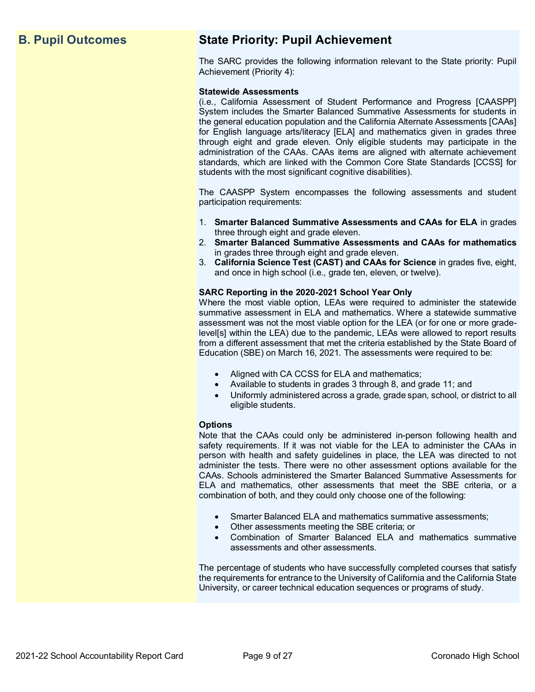## **B. Pupil Outcomes State Priority: Pupil Achievement**

The SARC provides the following information relevant to the State priority: Pupil Achievement (Priority 4):

#### **Statewide Assessments**

(i.e., California Assessment of Student Performance and Progress [CAASPP] System includes the Smarter Balanced Summative Assessments for students in the general education population and the California Alternate Assessments [CAAs] for English language arts/literacy [ELA] and mathematics given in grades three through eight and grade eleven. Only eligible students may participate in the administration of the CAAs. CAAs items are aligned with alternate achievement standards, which are linked with the Common Core State Standards [CCSS] for students with the most significant cognitive disabilities).

The CAASPP System encompasses the following assessments and student participation requirements:

- 1. **Smarter Balanced Summative Assessments and CAAs for ELA** in grades three through eight and grade eleven.
- 2. **Smarter Balanced Summative Assessments and CAAs for mathematics** in grades three through eight and grade eleven.
- 3. **California Science Test (CAST) and CAAs for Science** in grades five, eight, and once in high school (i.e., grade ten, eleven, or twelve).

#### **SARC Reporting in the 2020-2021 School Year Only**

Where the most viable option, LEAs were required to administer the statewide summative assessment in ELA and mathematics. Where a statewide summative assessment was not the most viable option for the LEA (or for one or more gradelevel[s] within the LEA) due to the pandemic, LEAs were allowed to report results from a different assessment that met the criteria established by the State Board of Education (SBE) on March 16, 2021. The assessments were required to be:

- Aligned with CA CCSS for ELA and mathematics;
- Available to students in grades 3 through 8, and grade 11; and
- Uniformly administered across a grade, grade span, school, or district to all eligible students.

#### **Options**

Note that the CAAs could only be administered in-person following health and safety requirements. If it was not viable for the LEA to administer the CAAs in person with health and safety guidelines in place, the LEA was directed to not administer the tests. There were no other assessment options available for the CAAs. Schools administered the Smarter Balanced Summative Assessments for ELA and mathematics, other assessments that meet the SBE criteria, or a combination of both, and they could only choose one of the following:

- Smarter Balanced ELA and mathematics summative assessments;
- Other assessments meeting the SBE criteria; or
- Combination of Smarter Balanced ELA and mathematics summative assessments and other assessments.

The percentage of students who have successfully completed courses that satisfy the requirements for entrance to the University of California and the California State University, or career technical education sequences or programs of study.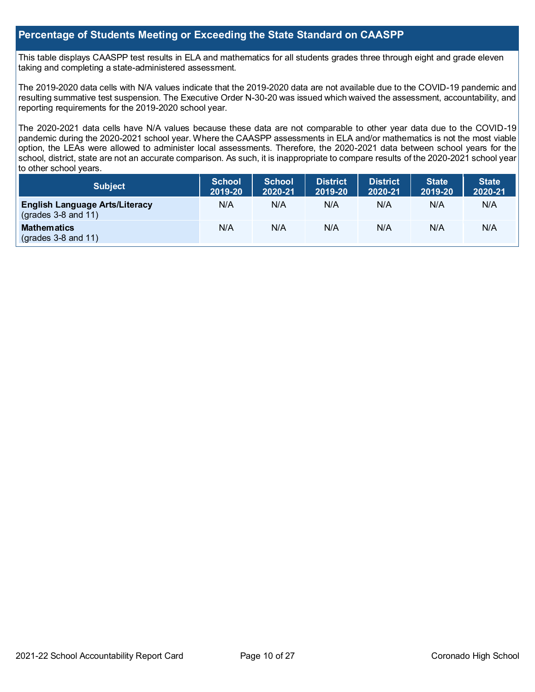#### **Percentage of Students Meeting or Exceeding the State Standard on CAASPP**

This table displays CAASPP test results in ELA and mathematics for all students grades three through eight and grade eleven taking and completing a state-administered assessment.

The 2019-2020 data cells with N/A values indicate that the 2019-2020 data are not available due to the COVID-19 pandemic and resulting summative test suspension. The Executive Order N-30-20 was issued which waived the assessment, accountability, and reporting requirements for the 2019-2020 school year.

The 2020-2021 data cells have N/A values because these data are not comparable to other year data due to the COVID-19 pandemic during the 2020-2021 school year. Where the CAASPP assessments in ELA and/or mathematics is not the most viable option, the LEAs were allowed to administer local assessments. Therefore, the 2020-2021 data between school years for the school, district, state are not an accurate comparison. As such, it is inappropriate to compare results of the 2020-2021 school year to other school years.

| <b>Subject</b>                                                 | <b>School</b><br>2019-20 | <b>School</b><br>2020-21 | <b>District</b><br>2019-20 | <b>District</b><br>2020-21 | <b>State</b><br>2019-20 | <b>State</b><br>2020-21 |
|----------------------------------------------------------------|--------------------------|--------------------------|----------------------------|----------------------------|-------------------------|-------------------------|
| <b>English Language Arts/Literacy</b><br>$(grades 3-8 and 11)$ | N/A                      | N/A                      | N/A                        | N/A                        | N/A                     | N/A                     |
| <b>Mathematics</b><br>$(grades 3-8 and 11)$                    | N/A                      | N/A                      | N/A                        | N/A                        | N/A                     | N/A                     |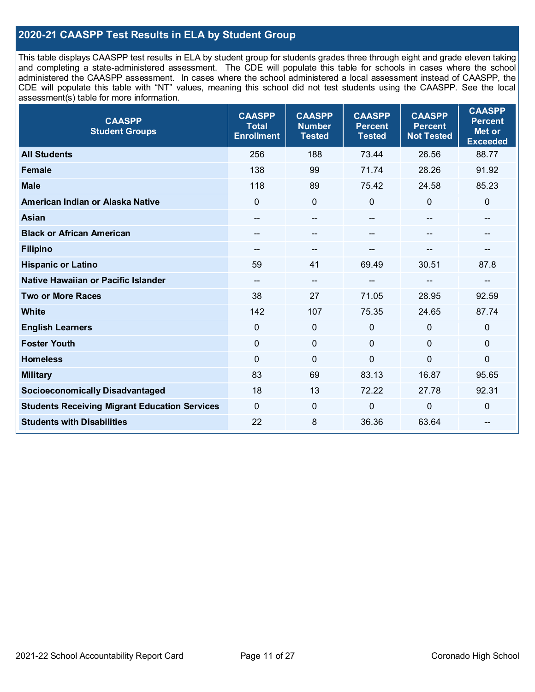### **2020-21 CAASPP Test Results in ELA by Student Group**

This table displays CAASPP test results in ELA by student group for students grades three through eight and grade eleven taking and completing a state-administered assessment. The CDE will populate this table for schools in cases where the school administered the CAASPP assessment. In cases where the school administered a local assessment instead of CAASPP, the CDE will populate this table with "NT" values, meaning this school did not test students using the CAASPP. See the local assessment(s) table for more information.

| <b>CAASPP</b><br><b>Student Groups</b>               | <b>CAASPP</b><br><b>Total</b><br><b>Enrollment</b> | <b>CAASPP</b><br><b>Number</b><br><b>Tested</b> | <b>CAASPP</b><br><b>Percent</b><br><b>Tested</b> | <b>CAASPP</b><br><b>Percent</b><br><b>Not Tested</b> | <b>CAASPP</b><br><b>Percent</b><br>Met or<br><b>Exceeded</b> |
|------------------------------------------------------|----------------------------------------------------|-------------------------------------------------|--------------------------------------------------|------------------------------------------------------|--------------------------------------------------------------|
| <b>All Students</b>                                  | 256                                                | 188                                             | 73.44                                            | 26.56                                                | 88.77                                                        |
| <b>Female</b>                                        | 138                                                | 99                                              | 71.74                                            | 28.26                                                | 91.92                                                        |
| <b>Male</b>                                          | 118                                                | 89                                              | 75.42                                            | 24.58                                                | 85.23                                                        |
| American Indian or Alaska Native                     | $\mathbf 0$                                        | $\pmb{0}$                                       | $\mathbf 0$                                      | $\mathbf 0$                                          | $\mathbf 0$                                                  |
| <b>Asian</b>                                         | $\hspace{0.05cm}$ – $\hspace{0.05cm}$              | --                                              | $\qquad \qquad \blacksquare$                     | --                                                   | $-$                                                          |
| <b>Black or African American</b>                     |                                                    | --                                              |                                                  |                                                      |                                                              |
| <b>Filipino</b>                                      |                                                    | --                                              |                                                  |                                                      | --                                                           |
| <b>Hispanic or Latino</b>                            | 59                                                 | 41                                              | 69.49                                            | 30.51                                                | 87.8                                                         |
| Native Hawaiian or Pacific Islander                  | $\hspace{0.05cm}$ – $\hspace{0.05cm}$              | $\overline{\phantom{a}}$                        | --                                               | --                                                   | --                                                           |
| <b>Two or More Races</b>                             | 38                                                 | 27                                              | 71.05                                            | 28.95                                                | 92.59                                                        |
| <b>White</b>                                         | 142                                                | 107                                             | 75.35                                            | 24.65                                                | 87.74                                                        |
| <b>English Learners</b>                              | $\Omega$                                           | $\mathbf 0$                                     | $\mathbf 0$                                      | $\Omega$                                             | $\mathbf 0$                                                  |
| <b>Foster Youth</b>                                  | $\Omega$                                           | $\mathbf 0$                                     | $\mathbf{0}$                                     | $\mathbf{0}$                                         | $\mathbf{0}$                                                 |
| <b>Homeless</b>                                      | $\mathbf 0$                                        | $\mathbf 0$                                     | $\mathbf 0$                                      | $\overline{0}$                                       | 0                                                            |
| <b>Military</b>                                      | 83                                                 | 69                                              | 83.13                                            | 16.87                                                | 95.65                                                        |
| <b>Socioeconomically Disadvantaged</b>               | 18                                                 | 13                                              | 72.22                                            | 27.78                                                | 92.31                                                        |
| <b>Students Receiving Migrant Education Services</b> | $\mathbf 0$                                        | $\mathbf 0$                                     | $\mathbf 0$                                      | $\mathbf 0$                                          | $\pmb{0}$                                                    |
| <b>Students with Disabilities</b>                    | 22                                                 | 8                                               | 36.36                                            | 63.64                                                | $-$                                                          |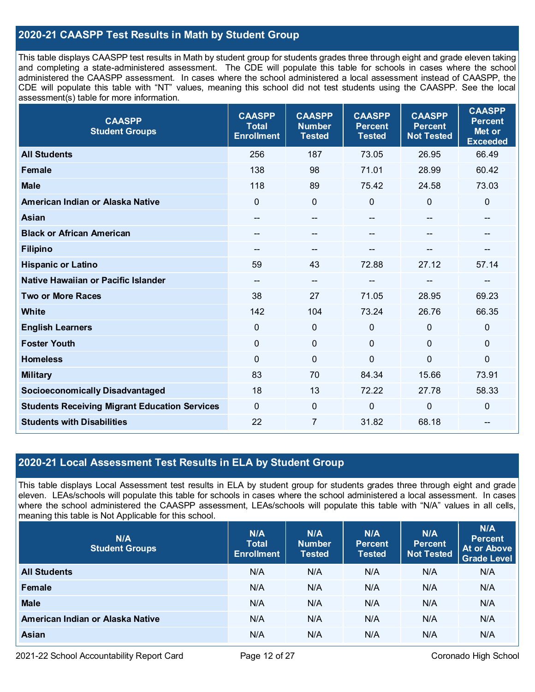### **2020-21 CAASPP Test Results in Math by Student Group**

This table displays CAASPP test results in Math by student group for students grades three through eight and grade eleven taking and completing a state-administered assessment. The CDE will populate this table for schools in cases where the school administered the CAASPP assessment. In cases where the school administered a local assessment instead of CAASPP, the CDE will populate this table with "NT" values, meaning this school did not test students using the CAASPP. See the local assessment(s) table for more information.

| <b>CAASPP</b><br><b>Student Groups</b>               | <b>CAASPP</b><br><b>Total</b><br><b>Enrollment</b> | <b>CAASPP</b><br><b>Number</b><br><b>Tested</b> | <b>CAASPP</b><br><b>Percent</b><br><b>Tested</b> | <b>CAASPP</b><br><b>Percent</b><br><b>Not Tested</b> | <b>CAASPP</b><br><b>Percent</b><br>Met or<br><b>Exceeded</b> |
|------------------------------------------------------|----------------------------------------------------|-------------------------------------------------|--------------------------------------------------|------------------------------------------------------|--------------------------------------------------------------|
| <b>All Students</b>                                  | 256                                                | 187                                             | 73.05                                            | 26.95                                                | 66.49                                                        |
| <b>Female</b>                                        | 138                                                | 98                                              | 71.01                                            | 28.99                                                | 60.42                                                        |
| <b>Male</b>                                          | 118                                                | 89                                              | 75.42                                            | 24.58                                                | 73.03                                                        |
| American Indian or Alaska Native                     | $\overline{0}$                                     | $\mathbf 0$                                     | 0                                                | $\Omega$                                             | $\mathbf 0$                                                  |
| Asian                                                | --                                                 | --                                              |                                                  |                                                      | --                                                           |
| <b>Black or African American</b>                     | $- -$                                              | $\qquad \qquad \qquad \qquad$                   | $\qquad \qquad \blacksquare$                     | $\mathbf{m}$                                         | --                                                           |
| <b>Filipino</b>                                      | --                                                 | --                                              |                                                  |                                                      |                                                              |
| <b>Hispanic or Latino</b>                            | 59                                                 | 43                                              | 72.88                                            | 27.12                                                | 57.14                                                        |
| Native Hawaiian or Pacific Islander                  | --                                                 | $\overline{\phantom{a}}$                        | --                                               | --                                                   | --                                                           |
| <b>Two or More Races</b>                             | 38                                                 | 27                                              | 71.05                                            | 28.95                                                | 69.23                                                        |
| <b>White</b>                                         | 142                                                | 104                                             | 73.24                                            | 26.76                                                | 66.35                                                        |
| <b>English Learners</b>                              | $\mathbf 0$                                        | $\mathbf 0$                                     | 0                                                | $\mathbf 0$                                          | $\mathbf 0$                                                  |
| <b>Foster Youth</b>                                  | $\mathbf{0}$                                       | $\mathbf 0$                                     | $\overline{0}$                                   | $\mathbf 0$                                          | $\mathbf 0$                                                  |
| <b>Homeless</b>                                      | $\overline{0}$                                     | $\mathbf 0$                                     | $\overline{0}$                                   | $\overline{0}$                                       | $\boldsymbol{0}$                                             |
| <b>Military</b>                                      | 83                                                 | 70                                              | 84.34                                            | 15.66                                                | 73.91                                                        |
| <b>Socioeconomically Disadvantaged</b>               | 18                                                 | 13                                              | 72.22                                            | 27.78                                                | 58.33                                                        |
| <b>Students Receiving Migrant Education Services</b> | $\Omega$                                           | $\mathbf 0$                                     | 0                                                | $\mathbf 0$                                          | $\mathbf 0$                                                  |
| <b>Students with Disabilities</b>                    | 22                                                 | 7                                               | 31.82                                            | 68.18                                                | --                                                           |

#### **2020-21 Local Assessment Test Results in ELA by Student Group**

This table displays Local Assessment test results in ELA by student group for students grades three through eight and grade eleven. LEAs/schools will populate this table for schools in cases where the school administered a local assessment. In cases where the school administered the CAASPP assessment, LEAs/schools will populate this table with "N/A" values in all cells, meaning this table is Not Applicable for this school.

| N/A<br><b>Student Groups</b>     | N/A<br><b>Total</b><br><b>Enrollment</b> | N/A<br><b>Number</b><br><b>Tested</b> | N/A<br><b>Percent</b><br><b>Tested</b> | N/A<br><b>Percent</b><br><b>Not Tested</b> | N/A<br><b>Percent</b><br><b>At or Above</b><br><b>Grade Level</b> |
|----------------------------------|------------------------------------------|---------------------------------------|----------------------------------------|--------------------------------------------|-------------------------------------------------------------------|
| <b>All Students</b>              | N/A                                      | N/A                                   | N/A                                    | N/A                                        | N/A                                                               |
| Female                           | N/A                                      | N/A                                   | N/A                                    | N/A                                        | N/A                                                               |
| <b>Male</b>                      | N/A                                      | N/A                                   | N/A                                    | N/A                                        | N/A                                                               |
| American Indian or Alaska Native | N/A                                      | N/A                                   | N/A                                    | N/A                                        | N/A                                                               |
| <b>Asian</b>                     | N/A                                      | N/A                                   | N/A                                    | N/A                                        | N/A                                                               |

2021-22 School Accountability Report Card Page 12 of 27 Coronado High School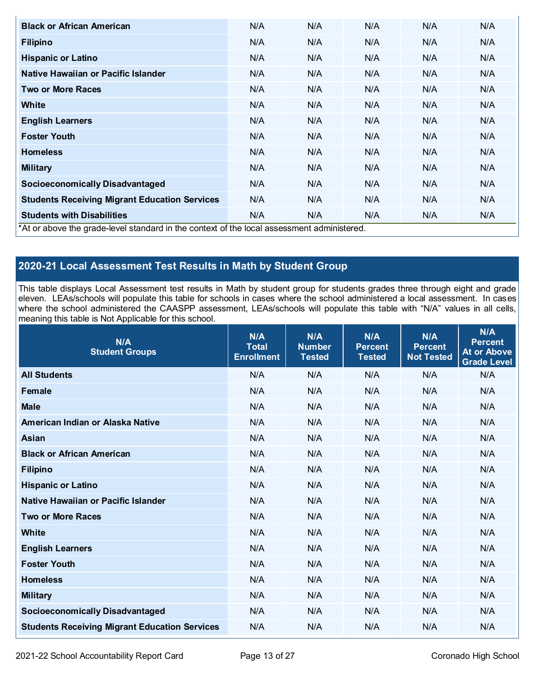| <b>Black or African American</b>                                                           | N/A | N/A | N/A | N/A | N/A |
|--------------------------------------------------------------------------------------------|-----|-----|-----|-----|-----|
| <b>Filipino</b>                                                                            | N/A | N/A | N/A | N/A | N/A |
| <b>Hispanic or Latino</b>                                                                  | N/A | N/A | N/A | N/A | N/A |
| Native Hawaiian or Pacific Islander                                                        | N/A | N/A | N/A | N/A | N/A |
| <b>Two or More Races</b>                                                                   | N/A | N/A | N/A | N/A | N/A |
| White                                                                                      | N/A | N/A | N/A | N/A | N/A |
| <b>English Learners</b>                                                                    | N/A | N/A | N/A | N/A | N/A |
| <b>Foster Youth</b>                                                                        | N/A | N/A | N/A | N/A | N/A |
| <b>Homeless</b>                                                                            | N/A | N/A | N/A | N/A | N/A |
| <b>Military</b>                                                                            | N/A | N/A | N/A | N/A | N/A |
| <b>Socioeconomically Disadvantaged</b>                                                     | N/A | N/A | N/A | N/A | N/A |
| <b>Students Receiving Migrant Education Services</b>                                       | N/A | N/A | N/A | N/A | N/A |
| <b>Students with Disabilities</b>                                                          | N/A | N/A | N/A | N/A | N/A |
| *At or above the grade-level standard in the context of the local assessment administered. |     |     |     |     |     |

## **2020-21 Local Assessment Test Results in Math by Student Group**

This table displays Local Assessment test results in Math by student group for students grades three through eight and grade eleven. LEAs/schools will populate this table for schools in cases where the school administered a local assessment. In cases where the school administered the CAASPP assessment, LEAs/schools will populate this table with "N/A" values in all cells, meaning this table is Not Applicable for this school.

| N/A<br><b>Student Groups</b>                         | N/A<br><b>Total</b><br><b>Enrollment</b> | N/A<br><b>Number</b><br><b>Tested</b> | N/A<br><b>Percent</b><br><b>Tested</b> | N/A<br><b>Percent</b><br><b>Not Tested</b> | N/A<br><b>Percent</b><br><b>At or Above</b><br><b>Grade Level</b> |
|------------------------------------------------------|------------------------------------------|---------------------------------------|----------------------------------------|--------------------------------------------|-------------------------------------------------------------------|
| <b>All Students</b>                                  | N/A                                      | N/A                                   | N/A                                    | N/A                                        | N/A                                                               |
| <b>Female</b>                                        | N/A                                      | N/A                                   | N/A                                    | N/A                                        | N/A                                                               |
| <b>Male</b>                                          | N/A                                      | N/A                                   | N/A                                    | N/A                                        | N/A                                                               |
| American Indian or Alaska Native                     | N/A                                      | N/A                                   | N/A                                    | N/A                                        | N/A                                                               |
| <b>Asian</b>                                         | N/A                                      | N/A                                   | N/A                                    | N/A                                        | N/A                                                               |
| <b>Black or African American</b>                     | N/A                                      | N/A                                   | N/A                                    | N/A                                        | N/A                                                               |
| <b>Filipino</b>                                      | N/A                                      | N/A                                   | N/A                                    | N/A                                        | N/A                                                               |
| <b>Hispanic or Latino</b>                            | N/A                                      | N/A                                   | N/A                                    | N/A                                        | N/A                                                               |
| <b>Native Hawaiian or Pacific Islander</b>           | N/A                                      | N/A                                   | N/A                                    | N/A                                        | N/A                                                               |
| <b>Two or More Races</b>                             | N/A                                      | N/A                                   | N/A                                    | N/A                                        | N/A                                                               |
| <b>White</b>                                         | N/A                                      | N/A                                   | N/A                                    | N/A                                        | N/A                                                               |
| <b>English Learners</b>                              | N/A                                      | N/A                                   | N/A                                    | N/A                                        | N/A                                                               |
| <b>Foster Youth</b>                                  | N/A                                      | N/A                                   | N/A                                    | N/A                                        | N/A                                                               |
| <b>Homeless</b>                                      | N/A                                      | N/A                                   | N/A                                    | N/A                                        | N/A                                                               |
| <b>Military</b>                                      | N/A                                      | N/A                                   | N/A                                    | N/A                                        | N/A                                                               |
| <b>Socioeconomically Disadvantaged</b>               | N/A                                      | N/A                                   | N/A                                    | N/A                                        | N/A                                                               |
| <b>Students Receiving Migrant Education Services</b> | N/A                                      | N/A                                   | N/A                                    | N/A                                        | N/A                                                               |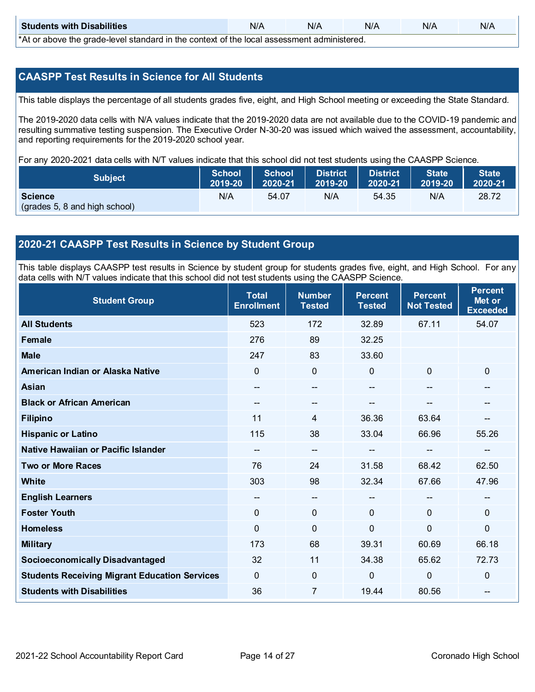| <b>Students with Disabilities</b>                                                                 | N/A | N/A | N/A | N/A | N/A |  |
|---------------------------------------------------------------------------------------------------|-----|-----|-----|-----|-----|--|
| $*$ $\wedge$ ar above the arade lovel standard in the context of the lead coses ment administered |     |     |     |     |     |  |

\*At or above the grade-level standard in the context of the local assessment administered.

#### **CAASPP Test Results in Science for All Students**

This table displays the percentage of all students grades five, eight, and High School meeting or exceeding the State Standard.

The 2019-2020 data cells with N/A values indicate that the 2019-2020 data are not available due to the COVID-19 pandemic and resulting summative testing suspension. The Executive Order N-30-20 was issued which waived the assessment, accountability, and reporting requirements for the 2019-2020 school year.

For any 2020-2021 data cells with N/T values indicate that this school did not test students using the CAASPP Science.

| <b>Subject</b>                | $ 2019-20 $ | School School<br>2020-21 | <b>District</b><br>2019-20 | <b>District</b><br>$2020-21$ | <b>State</b><br>$\parallel$ 2019-20 | <b>State</b><br>2020-21 |
|-------------------------------|-------------|--------------------------|----------------------------|------------------------------|-------------------------------------|-------------------------|
| <b>Science</b>                | N/A         | 54.07                    | N/A                        | 54.35                        | N/A                                 | 28.72                   |
| (grades 5, 8 and high school) |             |                          |                            |                              |                                     |                         |

#### **2020-21 CAASPP Test Results in Science by Student Group**

This table displays CAASPP test results in Science by student group for students grades five, eight, and High School. For any data cells with N/T values indicate that this school did not test students using the CAASPP Science.

| <b>Student Group</b>                                 | <b>Total</b><br><b>Enrollment</b> | <b>Number</b><br><b>Tested</b> | <b>Percent</b><br><b>Tested</b> | <b>Percent</b><br><b>Not Tested</b> | <b>Percent</b><br>Met or<br><b>Exceeded</b> |
|------------------------------------------------------|-----------------------------------|--------------------------------|---------------------------------|-------------------------------------|---------------------------------------------|
| <b>All Students</b>                                  | 523                               | 172                            | 32.89                           | 67.11                               | 54.07                                       |
| <b>Female</b>                                        | 276                               | 89                             | 32.25                           |                                     |                                             |
| <b>Male</b>                                          | 247                               | 83                             | 33.60                           |                                     |                                             |
| American Indian or Alaska Native                     | 0                                 | $\mathbf 0$                    | $\mathbf{0}$                    | $\mathbf 0$                         | $\mathbf 0$                                 |
| <b>Asian</b>                                         | --                                | $\overline{\phantom{a}}$       | $\overline{\phantom{a}}$        | $\qquad \qquad -$                   | $\overline{\phantom{a}}$                    |
| <b>Black or African American</b>                     |                                   | --                             |                                 | --                                  | --                                          |
| <b>Filipino</b>                                      | 11                                | 4                              | 36.36                           | 63.64                               | --                                          |
| <b>Hispanic or Latino</b>                            | 115                               | 38                             | 33.04                           | 66.96                               | 55.26                                       |
| <b>Native Hawaiian or Pacific Islander</b>           | $-$                               | $\overline{\phantom{a}}$       |                                 | --                                  | --                                          |
| <b>Two or More Races</b>                             | 76                                | 24                             | 31.58                           | 68.42                               | 62.50                                       |
| White                                                | 303                               | 98                             | 32.34                           | 67.66                               | 47.96                                       |
| <b>English Learners</b>                              | --                                | $\overline{\phantom{a}}$       | --                              | $\overline{\phantom{a}}$            | $\mathbf{m}$                                |
| <b>Foster Youth</b>                                  | 0                                 | $\mathbf 0$                    | $\mathbf 0$                     | 0                                   | $\mathbf 0$                                 |
| <b>Homeless</b>                                      | 0                                 | $\mathbf 0$                    | $\mathbf 0$                     | $\mathbf 0$                         | 0                                           |
| <b>Military</b>                                      | 173                               | 68                             | 39.31                           | 60.69                               | 66.18                                       |
| <b>Socioeconomically Disadvantaged</b>               | 32                                | 11                             | 34.38                           | 65.62                               | 72.73                                       |
| <b>Students Receiving Migrant Education Services</b> | 0                                 | $\mathbf 0$                    | 0                               | $\mathbf 0$                         | 0                                           |
| <b>Students with Disabilities</b>                    | 36                                | $\overline{7}$                 | 19.44                           | 80.56                               | --                                          |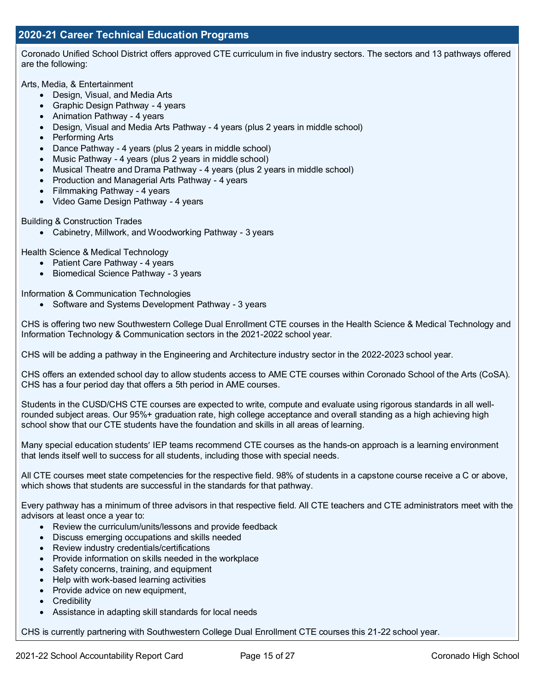Coronado Unified School District offers approved CTE curriculum in five industry sectors. The sectors and 13 pathways offered are the following:

Arts, Media, & Entertainment

- Design, Visual, and Media Arts
- Graphic Design Pathway 4 years
- Animation Pathway 4 years
- Design, Visual and Media Arts Pathway 4 years (plus 2 years in middle school)
- Performing Arts
- Dance Pathway 4 years (plus 2 years in middle school)
- Music Pathway 4 years (plus 2 years in middle school)
- Musical Theatre and Drama Pathway 4 years (plus 2 years in middle school)
- Production and Managerial Arts Pathway 4 years
- Filmmaking Pathway 4 years
- Video Game Design Pathway 4 years

Building & Construction Trades

• Cabinetry, Millwork, and Woodworking Pathway - 3 years

Health Science & Medical Technology

- Patient Care Pathway 4 years
- Biomedical Science Pathway 3 years

Information & Communication Technologies

• Software and Systems Development Pathway - 3 years

CHS is offering two new Southwestern College Dual Enrollment CTE courses in the Health Science & Medical Technology and Information Technology & Communication sectors in the 2021-2022 school year.

CHS will be adding a pathway in the Engineering and Architecture industry sector in the 2022-2023 school year.

CHS offers an extended school day to allow students access to AME CTE courses within Coronado School of the Arts (CoSA). CHS has a four period day that offers a 5th period in AME courses.

Students in the CUSD/CHS CTE courses are expected to write, compute and evaluate using rigorous standards in all wellrounded subject areas. Our 95%+ graduation rate, high college acceptance and overall standing as a high achieving high school show that our CTE students have the foundation and skills in all areas of learning.

Many special education students' IEP teams recommend CTE courses as the hands-on approach is a learning environment that lends itself well to success for all students, including those with special needs.

All CTE courses meet state competencies for the respective field. 98% of students in a capstone course receive a C or above, which shows that students are successful in the standards for that pathway.

Every pathway has a minimum of three advisors in that respective field. All CTE teachers and CTE administrators meet with the advisors at least once a year to:

- Review the curriculum/units/lessons and provide feedback
- Discuss emerging occupations and skills needed
- Review industry credentials/certifications
- Provide information on skills needed in the workplace
- Safety concerns, training, and equipment
- Help with work-based learning activities
- Provide advice on new equipment,
- Credibility
- Assistance in adapting skill standards for local needs

CHS is currently partnering with Southwestern College Dual Enrollment CTE courses this 21-22 school year.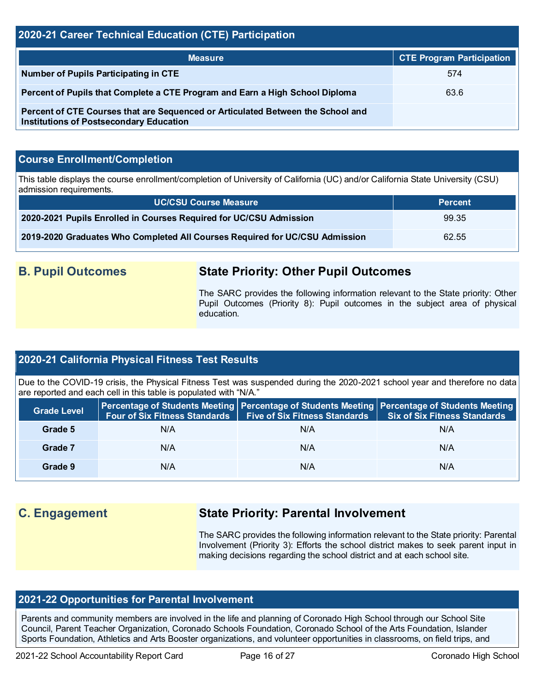#### **2020-21 Career Technical Education (CTE) Participation**

| <b>Measure</b>                                                                                                                    | <b>CTE Program Participation</b> |
|-----------------------------------------------------------------------------------------------------------------------------------|----------------------------------|
| Number of Pupils Participating in CTE                                                                                             | 574                              |
| Percent of Pupils that Complete a CTE Program and Earn a High School Diploma                                                      | 63.6                             |
| Percent of CTE Courses that are Sequenced or Articulated Between the School and<br><b>Institutions of Postsecondary Education</b> |                                  |

#### **Course Enrollment/Completion**

This table displays the course enrollment/completion of University of California (UC) and/or California State University (CSU) admission requirements.

| <b>UC/CSU Course Measure</b>                                                | <b>Percent</b> |
|-----------------------------------------------------------------------------|----------------|
| 2020-2021 Pupils Enrolled in Courses Required for UC/CSU Admission          | 99.35          |
| 2019-2020 Graduates Who Completed All Courses Required for UC/CSU Admission | 62.55          |

## **B. Pupil Outcomes State Priority: Other Pupil Outcomes**

The SARC provides the following information relevant to the State priority: Other Pupil Outcomes (Priority 8): Pupil outcomes in the subject area of physical education.

#### **2020-21 California Physical Fitness Test Results**

Due to the COVID-19 crisis, the Physical Fitness Test was suspended during the 2020-2021 school year and therefore no data are reported and each cell in this table is populated with "N/A."

| <b>Grade Level</b> | Four of Six Fitness Standards | <b>Five of Six Fitness Standards</b> | Percentage of Students Meeting   Percentage of Students Meeting   Percentage of Students Meeting<br><b>Six of Six Fitness Standards</b> |
|--------------------|-------------------------------|--------------------------------------|-----------------------------------------------------------------------------------------------------------------------------------------|
| Grade 5            | N/A                           | N/A                                  | N/A                                                                                                                                     |
| Grade 7            | N/A                           | N/A                                  | N/A                                                                                                                                     |
| Grade 9            | N/A                           | N/A                                  | N/A                                                                                                                                     |

## **C. Engagement State Priority: Parental Involvement**

The SARC provides the following information relevant to the State priority: Parental Involvement (Priority 3): Efforts the school district makes to seek parent input in making decisions regarding the school district and at each school site.

#### **2021-22 Opportunities for Parental Involvement**

Parents and community members are involved in the life and planning of Coronado High School through our School Site Council, Parent Teacher Organization, Coronado Schools Foundation, Coronado School of the Arts Foundation, Islander Sports Foundation, Athletics and Arts Booster organizations, and volunteer opportunities in classrooms, on field trips, and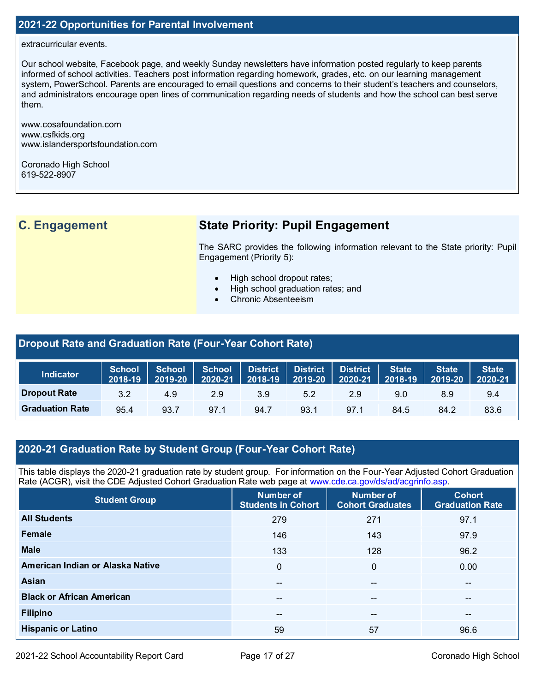## **2021-22 Opportunities for Parental Involvement**

#### extracurricular events.

Our school website, Facebook page, and weekly Sunday newsletters have information posted regularly to keep parents informed of school activities. Teachers post information regarding homework, grades, etc. on our learning management system, PowerSchool. Parents are encouraged to email questions and concerns to their student's teachers and counselors, and administrators encourage open lines of communication regarding needs of students and how the school can best serve them.

www.cosafoundation.com www.csfkids.org www.islandersportsfoundation.com

Coronado High School 619-522-8907

## **C. Engagement State Priority: Pupil Engagement**

The SARC provides the following information relevant to the State priority: Pupil Engagement (Priority 5):

- High school dropout rates;
- High school graduation rates; and
- Chronic Absenteeism

## **Dropout Rate and Graduation Rate (Four-Year Cohort Rate)**

| <b>Indicator</b>       | School<br>2018-19 | 2019-20 ∣ | School School District District District  <br>$\begin{array}{ c c c c c c c c } \hline \text{2020-21} & \text{2018-19} & \text{2019-20} \hline \end{array}$ |      |      | $2020-21$ 2018-19 | <b>State</b> | <b>State</b><br>2019-20 | State <sup>1</sup><br>$2020 - 21$ |
|------------------------|-------------------|-----------|-------------------------------------------------------------------------------------------------------------------------------------------------------------|------|------|-------------------|--------------|-------------------------|-----------------------------------|
| <b>Dropout Rate</b>    | 3.2               | 4.9       | 2.9                                                                                                                                                         | 3.9  | 5.2  | 2.9               | 9.0          | 8.9                     | 9.4                               |
| <b>Graduation Rate</b> | 95.4              | 93.7      | 97.1                                                                                                                                                        | 94.7 | 93.1 | 97.1              | 84.5         | 84.2                    | 83.6                              |

#### **2020-21 Graduation Rate by Student Group (Four-Year Cohort Rate)**

This table displays the 2020-21 graduation rate by student group. For information on the Four-Year Adjusted Cohort Graduation Rate (ACGR), visit the CDE Adjusted Cohort Graduation Rate web page at [www.cde.ca.gov/ds/ad/acgrinfo.asp.](http://www.cde.ca.gov/ds/ad/acgrinfo.asp)

| <b>Student Group</b>             | Number of<br><b>Students in Cohort</b> | Number of<br><b>Cohort Graduates</b> | <b>Cohort</b><br><b>Graduation Rate</b> |
|----------------------------------|----------------------------------------|--------------------------------------|-----------------------------------------|
| <b>All Students</b>              | 279                                    | 271                                  | 97.1                                    |
| Female                           | 146                                    | 143                                  | 97.9                                    |
| <b>Male</b>                      | 133                                    | 128                                  | 96.2                                    |
| American Indian or Alaska Native | $\Omega$                               | $\mathbf{0}$                         | 0.00                                    |
| Asian                            | --                                     | $- -$                                | $- -$                                   |
| <b>Black or African American</b> | $\overline{\phantom{m}}$               | $\overline{\phantom{m}}$             | $\overline{\phantom{m}}$                |
| <b>Filipino</b>                  | $- -$                                  | $\overline{\phantom{m}}$             | $\overline{\phantom{m}}$                |
| <b>Hispanic or Latino</b>        | 59                                     | 57                                   | 96.6                                    |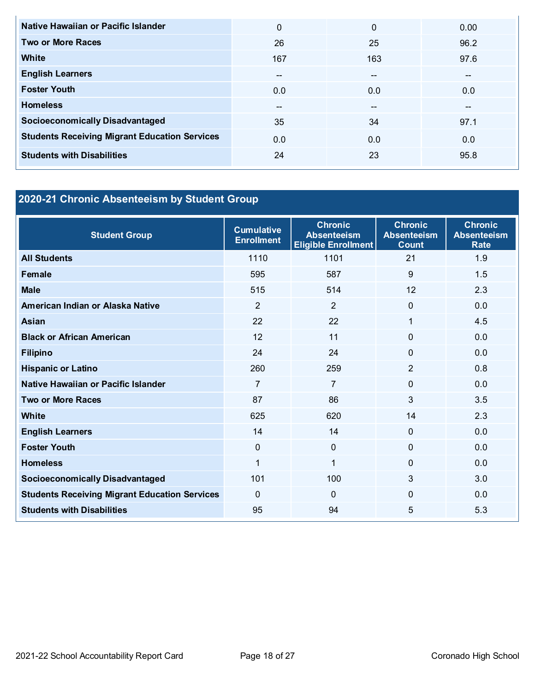| Native Hawaiian or Pacific Islander                  | 0   | $\Omega$ | 0.00  |
|------------------------------------------------------|-----|----------|-------|
| <b>Two or More Races</b>                             | 26  | 25       | 96.2  |
| White                                                | 167 | 163      | 97.6  |
| <b>English Learners</b>                              | --  | $- -$    | $- -$ |
| <b>Foster Youth</b>                                  | 0.0 | 0.0      | 0.0   |
| <b>Homeless</b>                                      | $-$ | $- -$    | $- -$ |
| <b>Socioeconomically Disadvantaged</b>               | 35  | 34       | 97.1  |
| <b>Students Receiving Migrant Education Services</b> | 0.0 | 0.0      | 0.0   |
| <b>Students with Disabilities</b>                    | 24  | 23       | 95.8  |

# **2020-21 Chronic Absenteeism by Student Group**

| <b>Student Group</b>                                 | <b>Cumulative</b><br><b>Enrollment</b> | <b>Chronic</b><br><b>Absenteeism</b><br><b>Eligible Enrollment</b> | <b>Chronic</b><br><b>Absenteeism</b><br><b>Count</b> | <b>Chronic</b><br><b>Absenteeism</b><br><b>Rate</b> |
|------------------------------------------------------|----------------------------------------|--------------------------------------------------------------------|------------------------------------------------------|-----------------------------------------------------|
| <b>All Students</b>                                  | 1110                                   | 1101                                                               | 21                                                   | 1.9                                                 |
| <b>Female</b>                                        | 595                                    | 587                                                                | 9                                                    | 1.5                                                 |
| <b>Male</b>                                          | 515                                    | 514                                                                | 12                                                   | 2.3                                                 |
| American Indian or Alaska Native                     | 2                                      | $\overline{2}$                                                     | $\Omega$                                             | 0.0                                                 |
| <b>Asian</b>                                         | 22                                     | 22                                                                 | 1                                                    | 4.5                                                 |
| <b>Black or African American</b>                     | 12                                     | 11                                                                 | $\Omega$                                             | 0.0                                                 |
| <b>Filipino</b>                                      | 24                                     | 24                                                                 | $\mathbf 0$                                          | 0.0                                                 |
| <b>Hispanic or Latino</b>                            | 260                                    | 259                                                                | $\overline{2}$                                       | 0.8                                                 |
| Native Hawaiian or Pacific Islander                  | $\overline{7}$                         | $\overline{7}$                                                     | $\mathbf 0$                                          | 0.0                                                 |
| <b>Two or More Races</b>                             | 87                                     | 86                                                                 | 3                                                    | 3.5                                                 |
| <b>White</b>                                         | 625                                    | 620                                                                | 14                                                   | 2.3                                                 |
| <b>English Learners</b>                              | 14                                     | 14                                                                 | $\mathbf 0$                                          | 0.0                                                 |
| <b>Foster Youth</b>                                  | $\mathbf{0}$                           | $\Omega$                                                           | $\Omega$                                             | 0.0                                                 |
| <b>Homeless</b>                                      | 1                                      | $\mathbf 1$                                                        | $\Omega$                                             | 0.0                                                 |
| <b>Socioeconomically Disadvantaged</b>               | 101                                    | 100                                                                | 3                                                    | 3.0                                                 |
| <b>Students Receiving Migrant Education Services</b> | $\Omega$                               | $\Omega$                                                           | $\Omega$                                             | 0.0                                                 |
| <b>Students with Disabilities</b>                    | 95                                     | 94                                                                 | 5                                                    | 5.3                                                 |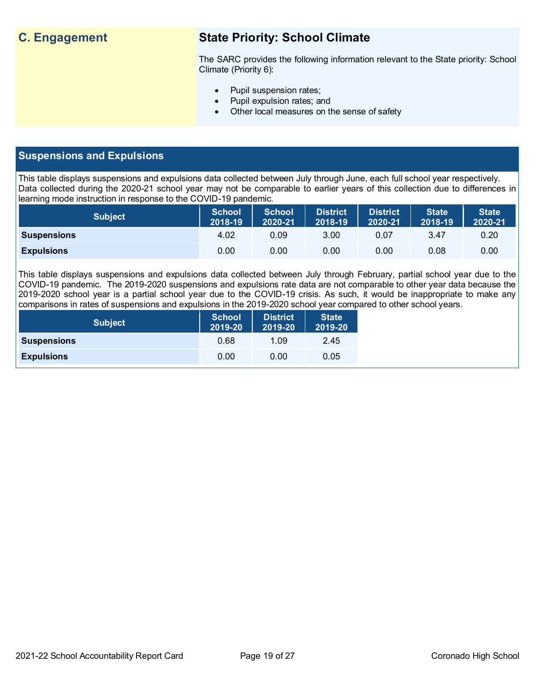## **C. Engagement State Priority: School Climate**

The SARC provides the following information relevant to the State priority: School Climate (Priority 6):

- Pupil suspension rates;
- Pupil expulsion rates; and
- Other local measures on the sense of safety

#### **Suspensions and Expulsions**

This table displays suspensions and expulsions data collected between July through June, each full school year respectively. Data collected during the 2020-21 school year may not be comparable to earlier years of this collection due to differences in learning mode instruction in response to the COVID-19 pandemic.

| <b>Subject</b>     | <b>School</b><br>2018-19 | <b>School</b><br>2020-21 | <b>District</b><br>2018-19 | <b>District</b><br>2020-21 | <b>State</b><br>2018-19 | <b>State</b><br>2020-21 |
|--------------------|--------------------------|--------------------------|----------------------------|----------------------------|-------------------------|-------------------------|
| <b>Suspensions</b> | 4.02                     | 0.09                     | 3.00                       | 0.07                       | 3.47                    | 0.20                    |
| <b>Expulsions</b>  | 0.00                     | 0.00                     | 0.00                       | 0.00                       | 0.08                    | 0.00                    |

This table displays suspensions and expulsions data collected between July through February, partial school year due to the COVID-19 pandemic. The 2019-2020 suspensions and expulsions rate data are not comparable to other year data because the 2019-2020 school year is a partial school year due to the COVID-19 crisis. As such, it would be inappropriate to make any comparisons in rates of suspensions and expulsions in the 2019-2020 school year compared to other school years.

| <b>Subject</b>     | School<br>2019-20 | <b>District</b><br>2019-20 | <b>State</b><br>2019-20 |
|--------------------|-------------------|----------------------------|-------------------------|
| <b>Suspensions</b> | 0.68              | 1.09                       | 2.45                    |
| <b>Expulsions</b>  | 0.00              | 0.00                       | 0.05                    |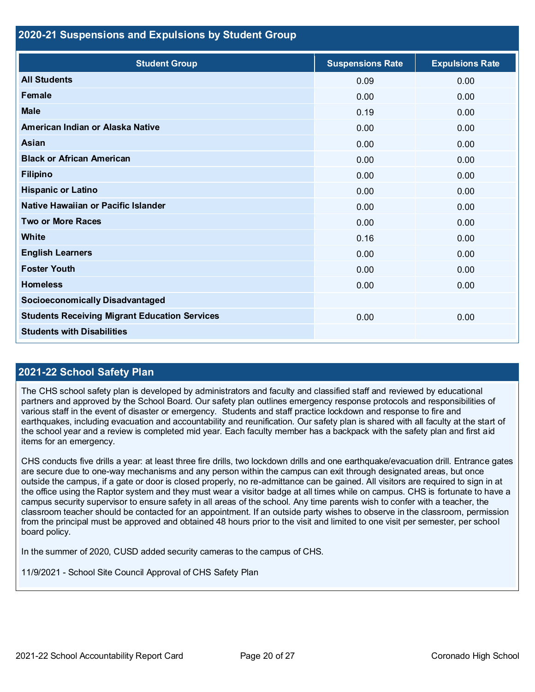#### **2020-21 Suspensions and Expulsions by Student Group**

| <b>Student Group</b>                                 | <b>Suspensions Rate</b> | <b>Expulsions Rate</b> |
|------------------------------------------------------|-------------------------|------------------------|
| <b>All Students</b>                                  | 0.09                    | 0.00                   |
| Female                                               | 0.00                    | 0.00                   |
| <b>Male</b>                                          | 0.19                    | 0.00                   |
| American Indian or Alaska Native                     | 0.00                    | 0.00                   |
| <b>Asian</b>                                         | 0.00                    | 0.00                   |
| <b>Black or African American</b>                     | 0.00                    | 0.00                   |
| <b>Filipino</b>                                      | 0.00                    | 0.00                   |
| <b>Hispanic or Latino</b>                            | 0.00                    | 0.00                   |
| Native Hawaiian or Pacific Islander                  | 0.00                    | 0.00                   |
| <b>Two or More Races</b>                             | 0.00                    | 0.00                   |
| White                                                | 0.16                    | 0.00                   |
| <b>English Learners</b>                              | 0.00                    | 0.00                   |
| <b>Foster Youth</b>                                  | 0.00                    | 0.00                   |
| <b>Homeless</b>                                      | 0.00                    | 0.00                   |
| <b>Socioeconomically Disadvantaged</b>               |                         |                        |
| <b>Students Receiving Migrant Education Services</b> | 0.00                    | 0.00                   |
| <b>Students with Disabilities</b>                    |                         |                        |

#### **2021-22 School Safety Plan**

The CHS school safety plan is developed by administrators and faculty and classified staff and reviewed by educational partners and approved by the School Board. Our safety plan outlines emergency response protocols and responsibilities of various staff in the event of disaster or emergency. Students and staff practice lockdown and response to fire and earthquakes, including evacuation and accountability and reunification. Our safety plan is shared with all faculty at the start of the school year and a review is completed mid year. Each faculty member has a backpack with the safety plan and first aid items for an emergency.

CHS conducts five drills a year: at least three fire drills, two lockdown drills and one earthquake/evacuation drill. Entrance gates are secure due to one-way mechanisms and any person within the campus can exit through designated areas, but once outside the campus, if a gate or door is closed properly, no re-admittance can be gained. All visitors are required to sign in at the office using the Raptor system and they must wear a visitor badge at all times while on campus. CHS is fortunate to have a campus security supervisor to ensure safety in all areas of the school. Any time parents wish to confer with a teacher, the classroom teacher should be contacted for an appointment. If an outside party wishes to observe in the classroom, permission from the principal must be approved and obtained 48 hours prior to the visit and limited to one visit per semester, per school board policy.

In the summer of 2020, CUSD added security cameras to the campus of CHS.

11/9/2021 - School Site Council Approval of CHS Safety Plan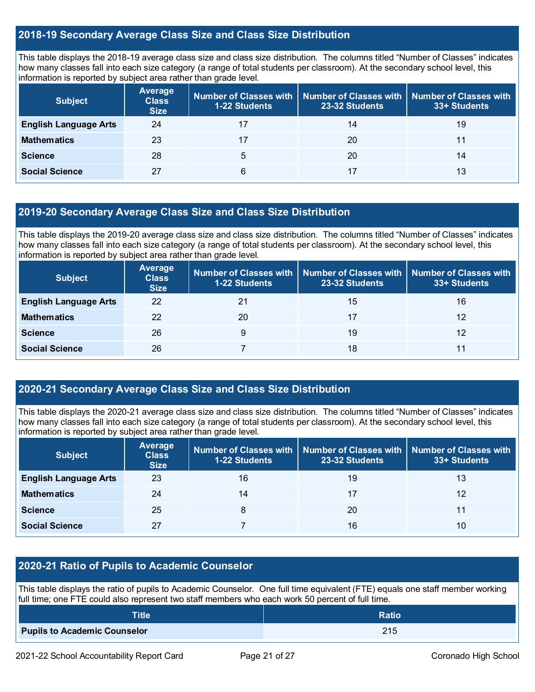#### **2018-19 Secondary Average Class Size and Class Size Distribution**

This table displays the 2018-19 average class size and class size distribution. The columns titled "Number of Classes" indicates how many classes fall into each size category (a range of total students per classroom). At the secondary school level, this information is reported by subject area rather than grade level.

| <b>Subject</b>               | <b>Average</b><br><b>Class</b><br><b>Size</b> | 1-22 Students | Number of Classes with   Number of Classes with  <br>23-32 Students | <b>Number of Classes with</b><br>33+ Students |
|------------------------------|-----------------------------------------------|---------------|---------------------------------------------------------------------|-----------------------------------------------|
| <b>English Language Arts</b> | 24                                            |               | 14                                                                  | 19                                            |
| <b>Mathematics</b>           | 23                                            | 17            | 20                                                                  | 11                                            |
| <b>Science</b>               | 28                                            | 5             | 20                                                                  | 14                                            |
| <b>Social Science</b>        | 27                                            | 6             | 17                                                                  | 13                                            |

#### **2019-20 Secondary Average Class Size and Class Size Distribution**

This table displays the 2019-20 average class size and class size distribution. The columns titled "Number of Classes" indicates how many classes fall into each size category (a range of total students per classroom). At the secondary school level, this information is reported by subject area rather than grade level.

| <b>Subject</b>               | Average<br><b>Class</b><br><b>Size</b> | <b>1-22 Students</b> | Number of Classes with   Number of Classes with<br>23-32 Students | <b>Number of Classes with</b><br>33+ Students |
|------------------------------|----------------------------------------|----------------------|-------------------------------------------------------------------|-----------------------------------------------|
| <b>English Language Arts</b> | 22                                     | 21                   | 15                                                                | 16                                            |
| <b>Mathematics</b>           | 22                                     | 20                   | 17                                                                | 12                                            |
| <b>Science</b>               | 26                                     | 9                    | 19                                                                | 12                                            |
| <b>Social Science</b>        | 26                                     |                      | 18                                                                | 11                                            |

#### **2020-21 Secondary Average Class Size and Class Size Distribution**

This table displays the 2020-21 average class size and class size distribution. The columns titled "Number of Classes" indicates how many classes fall into each size category (a range of total students per classroom). At the secondary school level, this information is reported by subject area rather than grade level.

| <b>Subject</b>               | Average<br><b>Class</b><br><b>Size</b> | 1-22 Students | Number of Classes with   Number of Classes with   Number of Classes with<br>23-32 Students | 33+ Students |
|------------------------------|----------------------------------------|---------------|--------------------------------------------------------------------------------------------|--------------|
| <b>English Language Arts</b> | 23                                     | 16            | 19                                                                                         | 13           |
| <b>Mathematics</b>           | 24                                     | 14            | 17                                                                                         | 12           |
| <b>Science</b>               | 25                                     | 8             | 20                                                                                         | 11           |
| <b>Social Science</b>        | 27                                     |               | 16                                                                                         | 10           |

#### **2020-21 Ratio of Pupils to Academic Counselor**

This table displays the ratio of pupils to Academic Counselor. One full time equivalent (FTE) equals one staff member working full time; one FTE could also represent two staff members who each work 50 percent of full time.

| <b>Title</b>                        | <b>Ratio</b> |
|-------------------------------------|--------------|
| <b>Pupils to Academic Counselor</b> | 215          |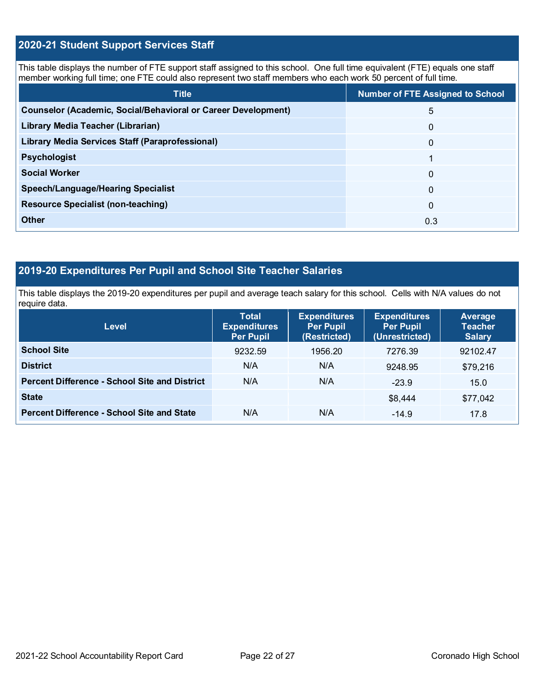### **2020-21 Student Support Services Staff**

This table displays the number of FTE support staff assigned to this school. One full time equivalent (FTE) equals one staff member working full time; one FTE could also represent two staff members who each work 50 percent of full time.

| <b>Title</b>                                                         | <b>Number of FTE Assigned to School</b> |
|----------------------------------------------------------------------|-----------------------------------------|
| <b>Counselor (Academic, Social/Behavioral or Career Development)</b> | 5                                       |
| Library Media Teacher (Librarian)                                    | 0                                       |
| Library Media Services Staff (Paraprofessional)                      | $\Omega$                                |
| <b>Psychologist</b>                                                  |                                         |
| <b>Social Worker</b>                                                 | $\Omega$                                |
| <b>Speech/Language/Hearing Specialist</b>                            | 0                                       |
| <b>Resource Specialist (non-teaching)</b>                            | $\Omega$                                |
| Other                                                                | 0.3                                     |

## **2019-20 Expenditures Per Pupil and School Site Teacher Salaries**

This table displays the 2019-20 expenditures per pupil and average teach salary for this school. Cells with N/A values do not require data.

| <b>Level</b>                                         | <b>Total</b><br><b>Expenditures</b><br><b>Per Pupil</b> | <b>Expenditures</b><br><b>Per Pupil</b><br>(Restricted) | <b>Expenditures</b><br><b>Per Pupil</b><br>(Unrestricted) | Average<br><b>Teacher</b><br><b>Salary</b> |
|------------------------------------------------------|---------------------------------------------------------|---------------------------------------------------------|-----------------------------------------------------------|--------------------------------------------|
| <b>School Site</b>                                   | 9232.59                                                 | 1956.20                                                 | 7276.39                                                   | 92102.47                                   |
| <b>District</b>                                      | N/A                                                     | N/A                                                     | 9248.95                                                   | \$79,216                                   |
| <b>Percent Difference - School Site and District</b> | N/A                                                     | N/A                                                     | $-23.9$                                                   | 15.0                                       |
| <b>State</b>                                         |                                                         |                                                         | \$8,444                                                   | \$77,042                                   |
| <b>Percent Difference - School Site and State</b>    | N/A                                                     | N/A                                                     | $-14.9$                                                   | 17.8                                       |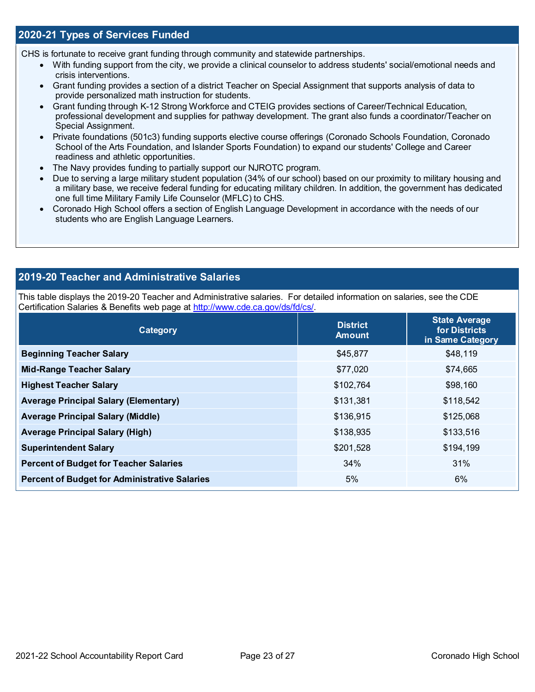#### **2020-21 Types of Services Funded**

CHS is fortunate to receive grant funding through community and statewide partnerships.

- With funding support from the city, we provide a clinical counselor to address students' social/emotional needs and crisis interventions.
- Grant funding provides a section of a district Teacher on Special Assignment that supports analysis of data to provide personalized math instruction for students.
- Grant funding through K-12 Strong Workforce and CTEIG provides sections of Career/Technical Education, professional development and supplies for pathway development. The grant also funds a coordinator/Teacher on Special Assignment.
- Private foundations (501c3) funding supports elective course offerings (Coronado Schools Foundation, Coronado School of the Arts Foundation, and Islander Sports Foundation) to expand our students' College and Career readiness and athletic opportunities.
- The Navy provides funding to partially support our NJROTC program.
- Due to serving a large military student population (34% of our school) based on our proximity to military housing and a military base, we receive federal funding for educating military children. In addition, the government has dedicated one full time Military Family Life Counselor (MFLC) to CHS.
- Coronado High School offers a section of English Language Development in accordance with the needs of our students who are English Language Learners.

#### **2019-20 Teacher and Administrative Salaries**

This table displays the 2019-20 Teacher and Administrative salaries. For detailed information on salaries, see the CDE Certification Salaries & Benefits web page at [http://www.cde.ca.gov/ds/fd/cs/.](http://www.cde.ca.gov/ds/fd/cs/)

| Category                                             | <b>District</b><br><b>Amount</b> | <b>State Average</b><br>for Districts<br>in Same Category |
|------------------------------------------------------|----------------------------------|-----------------------------------------------------------|
| <b>Beginning Teacher Salary</b>                      | \$45,877                         | \$48,119                                                  |
| <b>Mid-Range Teacher Salary</b>                      | \$77,020                         | \$74,665                                                  |
| <b>Highest Teacher Salary</b>                        | \$102,764                        | \$98,160                                                  |
| <b>Average Principal Salary (Elementary)</b>         | \$131,381                        | \$118,542                                                 |
| <b>Average Principal Salary (Middle)</b>             | \$136,915                        | \$125,068                                                 |
| <b>Average Principal Salary (High)</b>               | \$138,935                        | \$133,516                                                 |
| <b>Superintendent Salary</b>                         | \$201,528                        | \$194,199                                                 |
| <b>Percent of Budget for Teacher Salaries</b>        | 34%                              | 31%                                                       |
| <b>Percent of Budget for Administrative Salaries</b> | 5%                               | 6%                                                        |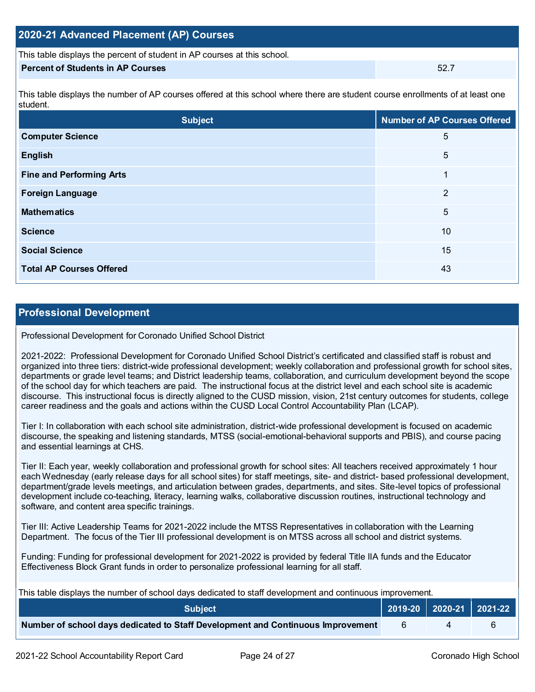| 2020-21 Advanced Placement (AP) Courses                                  |      |  |  |  |
|--------------------------------------------------------------------------|------|--|--|--|
| This table displays the percent of student in AP courses at this school. |      |  |  |  |
| <b>Percent of Students in AP Courses</b>                                 | 52.7 |  |  |  |

This table displays the number of AP courses offered at this school where there are student course enrollments of at least one student.

| <b>Subject</b>                  | <b>Number of AP Courses Offered</b> |
|---------------------------------|-------------------------------------|
| <b>Computer Science</b>         | 5                                   |
| <b>English</b>                  | 5                                   |
| <b>Fine and Performing Arts</b> | 1                                   |
| <b>Foreign Language</b>         | 2                                   |
| <b>Mathematics</b>              | 5                                   |
| <b>Science</b>                  | 10                                  |
| <b>Social Science</b>           | 15                                  |
| <b>Total AP Courses Offered</b> | 43                                  |

#### **Professional Development**

Professional Development for Coronado Unified School District

2021-2022: Professional Development for Coronado Unified School District's certificated and classified staff is robust and organized into three tiers: district-wide professional development; weekly collaboration and professional growth for school sites, departments or grade level teams; and District leadership teams, collaboration, and curriculum development beyond the scope of the school day for which teachers are paid. The instructional focus at the district level and each school site is academic discourse. This instructional focus is directly aligned to the CUSD mission, vision, 21st century outcomes for students, college career readiness and the goals and actions within the CUSD Local Control Accountability Plan (LCAP).

Tier I: In collaboration with each school site administration, district-wide professional development is focused on academic discourse, the speaking and listening standards, MTSS (social-emotional-behavioral supports and PBIS), and course pacing and essential learnings at CHS.

Tier II: Each year, weekly collaboration and professional growth for school sites: All teachers received approximately 1 hour each Wednesday (early release days for all school sites) for staff meetings, site- and district- based professional development, department/grade levels meetings, and articulation between grades, departments, and sites. Site-level topics of professional development include co-teaching, literacy, learning walks, collaborative discussion routines, instructional technology and software, and content area specific trainings.

Tier III: Active Leadership Teams for 2021-2022 include the MTSS Representatives in collaboration with the Learning Department. The focus of the Tier III professional development is on MTSS across all school and district systems.

Funding: Funding for professional development for 2021-2022 is provided by federal Title IIA funds and the Educator Effectiveness Block Grant funds in order to personalize professional learning for all staff.

This table displays the number of school days dedicated to staff development and continuous improvement.

| <b>Subject</b>                                                                  |  | $\vert$ 2019-20 2020-21 2021-22 |  |
|---------------------------------------------------------------------------------|--|---------------------------------|--|
| Number of school days dedicated to Staff Development and Continuous Improvement |  |                                 |  |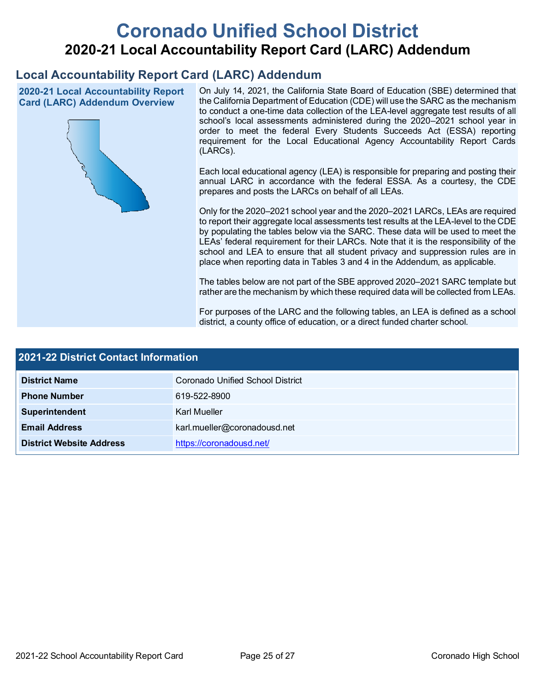# **Coronado Unified School District 2020-21 Local Accountability Report Card (LARC) Addendum**

## **Local Accountability Report Card (LARC) Addendum**

**2020-21 Local Accountability Report Card (LARC) Addendum Overview**



On July 14, 2021, the California State Board of Education (SBE) determined that the California Department of Education (CDE) will use the SARC as the mechanism to conduct a one-time data collection of the LEA-level aggregate test results of all school's local assessments administered during the 2020–2021 school year in order to meet the federal Every Students Succeeds Act (ESSA) reporting requirement for the Local Educational Agency Accountability Report Cards (LARCs).

Each local educational agency (LEA) is responsible for preparing and posting their annual LARC in accordance with the federal ESSA. As a courtesy, the CDE prepares and posts the LARCs on behalf of all LEAs.

Only for the 2020–2021 school year and the 2020–2021 LARCs, LEAs are required to report their aggregate local assessments test results at the LEA-level to the CDE by populating the tables below via the SARC. These data will be used to meet the LEAs' federal requirement for their LARCs. Note that it is the responsibility of the school and LEA to ensure that all student privacy and suppression rules are in place when reporting data in Tables 3 and 4 in the Addendum, as applicable.

The tables below are not part of the SBE approved 2020–2021 SARC template but rather are the mechanism by which these required data will be collected from LEAs.

For purposes of the LARC and the following tables, an LEA is defined as a school district, a county office of education, or a direct funded charter school.

| 2021-22 District Contact Information |                                  |  |  |  |
|--------------------------------------|----------------------------------|--|--|--|
| <b>District Name</b>                 | Coronado Unified School District |  |  |  |
| <b>Phone Number</b>                  | 619-522-8900                     |  |  |  |
| Superintendent                       | Karl Mueller                     |  |  |  |
| <b>Email Address</b>                 | karl.mueller@coronadousd.net     |  |  |  |
| <b>District Website Address</b>      | https://coronadousd.net/         |  |  |  |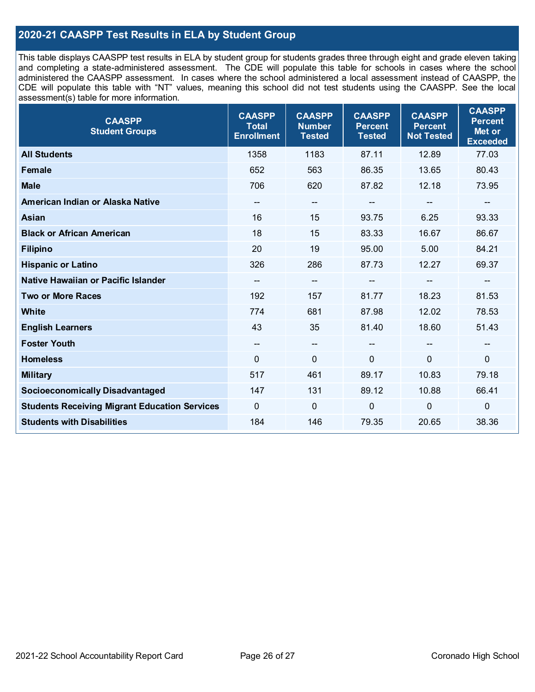### **2020-21 CAASPP Test Results in ELA by Student Group**

This table displays CAASPP test results in ELA by student group for students grades three through eight and grade eleven taking and completing a state-administered assessment. The CDE will populate this table for schools in cases where the school administered the CAASPP assessment. In cases where the school administered a local assessment instead of CAASPP, the CDE will populate this table with "NT" values, meaning this school did not test students using the CAASPP. See the local assessment(s) table for more information.

| <b>CAASPP</b><br><b>Student Groups</b>               | <b>CAASPP</b><br><b>Total</b><br><b>Enrollment</b> | <b>CAASPP</b><br><b>Number</b><br><b>Tested</b> | <b>CAASPP</b><br><b>Percent</b><br><b>Tested</b> | <b>CAASPP</b><br><b>Percent</b><br><b>Not Tested</b> | <b>CAASPP</b><br><b>Percent</b><br>Met or<br><b>Exceeded</b> |
|------------------------------------------------------|----------------------------------------------------|-------------------------------------------------|--------------------------------------------------|------------------------------------------------------|--------------------------------------------------------------|
| <b>All Students</b>                                  | 1358                                               | 1183                                            | 87.11                                            | 12.89                                                | 77.03                                                        |
| <b>Female</b>                                        | 652                                                | 563                                             | 86.35                                            | 13.65                                                | 80.43                                                        |
| <b>Male</b>                                          | 706                                                | 620                                             | 87.82                                            | 12.18                                                | 73.95                                                        |
| American Indian or Alaska Native                     | $\hspace{0.05cm}$ – $\hspace{0.05cm}$              | --                                              | --                                               | $\qquad \qquad \blacksquare$                         | $-$                                                          |
| Asian                                                | 16                                                 | 15                                              | 93.75                                            | 6.25                                                 | 93.33                                                        |
| <b>Black or African American</b>                     | 18                                                 | 15                                              | 83.33                                            | 16.67                                                | 86.67                                                        |
| <b>Filipino</b>                                      | 20                                                 | 19                                              | 95.00                                            | 5.00                                                 | 84.21                                                        |
| <b>Hispanic or Latino</b>                            | 326                                                | 286                                             | 87.73                                            | 12.27                                                | 69.37                                                        |
| Native Hawaiian or Pacific Islander                  | $\overline{\phantom{a}}$                           | $\hspace{0.05cm}$ $\hspace{0.05cm}$             | --                                               | $\overline{\phantom{a}}$                             | --                                                           |
| <b>Two or More Races</b>                             | 192                                                | 157                                             | 81.77                                            | 18.23                                                | 81.53                                                        |
| <b>White</b>                                         | 774                                                | 681                                             | 87.98                                            | 12.02                                                | 78.53                                                        |
| <b>English Learners</b>                              | 43                                                 | 35                                              | 81.40                                            | 18.60                                                | 51.43                                                        |
| <b>Foster Youth</b>                                  | $\overline{\phantom{a}}$                           | $\overline{\phantom{a}}$                        | $-$                                              | $\mathbf{u}$                                         | $\qquad \qquad -$                                            |
| <b>Homeless</b>                                      | $\mathbf 0$                                        | $\mathbf 0$                                     | $\mathbf 0$                                      | $\overline{0}$                                       | $\mathbf 0$                                                  |
| <b>Military</b>                                      | 517                                                | 461                                             | 89.17                                            | 10.83                                                | 79.18                                                        |
| <b>Socioeconomically Disadvantaged</b>               | 147                                                | 131                                             | 89.12                                            | 10.88                                                | 66.41                                                        |
| <b>Students Receiving Migrant Education Services</b> | $\mathbf 0$                                        | $\mathbf 0$                                     | $\mathbf 0$                                      | $\mathbf 0$                                          | $\mathbf 0$                                                  |
| <b>Students with Disabilities</b>                    | 184                                                | 146                                             | 79.35                                            | 20.65                                                | 38.36                                                        |